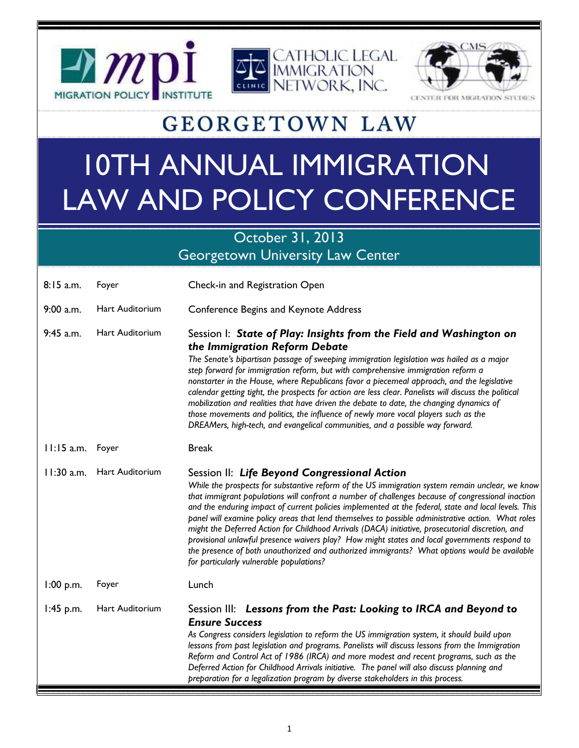



**DR MIGRAT** 

## **GEORGETOWN LAW**

## 10TH ANNUAL IMMIGRATION LAW AND POLICY CONFERENCE

### October 31, 2013 Georgetown University Law Center

| $8:15$ a.m.  | Foyer                  | Check-in and Registration Open                                                                                                                                                                                                                                                                                                                                                                                                                                                                                                                                                                                                                                                                                                                                                                                       |
|--------------|------------------------|----------------------------------------------------------------------------------------------------------------------------------------------------------------------------------------------------------------------------------------------------------------------------------------------------------------------------------------------------------------------------------------------------------------------------------------------------------------------------------------------------------------------------------------------------------------------------------------------------------------------------------------------------------------------------------------------------------------------------------------------------------------------------------------------------------------------|
| 9:00 a.m.    | Hart Auditorium        | <b>Conference Begins and Keynote Address</b>                                                                                                                                                                                                                                                                                                                                                                                                                                                                                                                                                                                                                                                                                                                                                                         |
| $9:45$ a.m.  | Hart Auditorium        | Session I: State of Play: Insights from the Field and Washington on<br>the Immigration Reform Debate<br>The Senate's bipartisan passage of sweeping immigration legislation was hailed as a major<br>step forward for immigration reform, but with comprehensive immigration reform a<br>nonstarter in the House, where Republicans favor a piecemeal approach, and the legislative<br>calendar getting tight, the prospects for action are less clear. Panelists will discuss the political<br>mobilization and realities that have driven the debate to date, the changing dynamics of<br>those movements and politics, the influence of newly more vocal players such as the<br>DREAMers, high-tech, and evangelical communities, and a possible way forward.                                                     |
| $11:15$ a.m. | Foyer                  | <b>Break</b>                                                                                                                                                                                                                                                                                                                                                                                                                                                                                                                                                                                                                                                                                                                                                                                                         |
| 11:30 a.m.   | <b>Hart Auditorium</b> | Session II: Life Beyond Congressional Action<br>While the prospects for substantive reform of the US immigration system remain unclear, we know<br>that immigrant populations will confront a number of challenges because of congressional inaction<br>and the enduring impact of current policies implemented at the federal, state and local levels. This<br>panel will examine policy areas that lend themselves to possible administrative action. What roles<br>might the Deferred Action for Childhood Arrivals (DACA) initiative, prosecutorial discretion, and<br>provisional unlawful presence waivers play? How might states and local governments respond to<br>the presence of both unauthorized and authorized immigrants? What options would be available<br>for particularly vulnerable populations? |
| $1:00$ p.m.  | Foyer                  | Lunch                                                                                                                                                                                                                                                                                                                                                                                                                                                                                                                                                                                                                                                                                                                                                                                                                |
| $1:45$ p.m.  | Hart Auditorium        | Session III: Lessons from the Past: Looking to IRCA and Beyond to<br><b>Ensure Success</b><br>As Congress considers legislation to reform the US immigration system, it should build upon<br>lessons from past legislation and programs. Panelists will discuss lessons from the Immigration<br>Reform and Control Act of 1986 (IRCA) and more modest and recent programs, such as the<br>Deferred Action for Childhood Arrivals initiative. The panel will also discuss planning and<br>preparation for a legalization program by diverse stakeholders in this process.                                                                                                                                                                                                                                             |